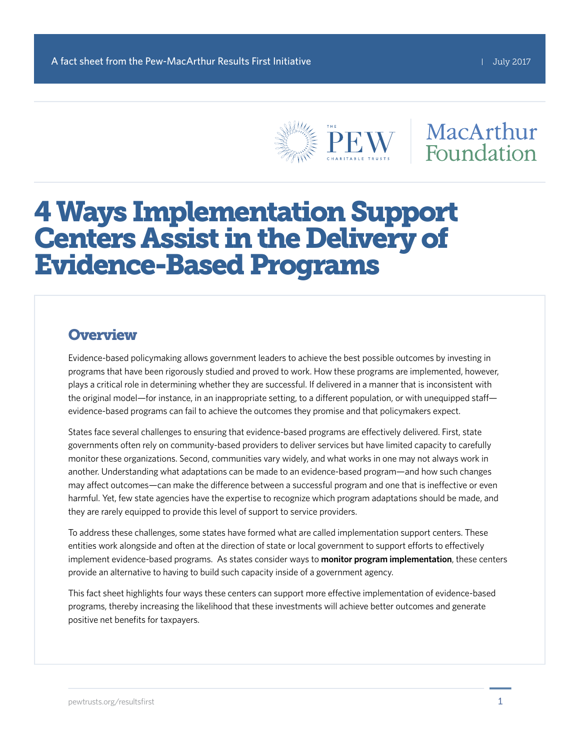

## MacArthur Foundation

# 4 Ways Implementation Support Centers Assist in the Delivery of Evidence-Based Programs

#### **Overview**

Evidence-based policymaking allows government leaders to achieve the best possible outcomes by investing in programs that have been rigorously studied and proved to work. How these programs are implemented, however, plays a critical role in determining whether they are successful. If delivered in a manner that is inconsistent with the original model—for instance, in an inappropriate setting, to a different population, or with unequipped staff evidence-based programs can fail to achieve the outcomes they promise and that policymakers expect.

States face several challenges to ensuring that evidence-based programs are effectively delivered. First, state governments often rely on community-based providers to deliver services but have limited capacity to carefully monitor these organizations. Second, communities vary widely, and what works in one may not always work in another. Understanding what adaptations can be made to an evidence-based program—and how such changes may affect outcomes—can make the difference between a successful program and one that is ineffective or even harmful. Yet, few state agencies have the expertise to recognize which program adaptations should be made, and they are rarely equipped to provide this level of support to service providers.

To address these challenges, some states have formed what are called implementation support centers. These entities work alongside and often at the direction of state or local government to support efforts to effectively implement evidence-based programs. As states consider ways to **[monitor program implementation](http://www.pewtrusts.org/en/research-and-analysis/issue-briefs/2016/05/implementation-oversight-for-evidence-based-programs)**, these centers provide an alternative to having to build such capacity inside of a government agency.

This fact sheet highlights four ways these centers can support more effective implementation of evidence-based programs, thereby increasing the likelihood that these investments will achieve better outcomes and generate positive net benefits for taxpayers.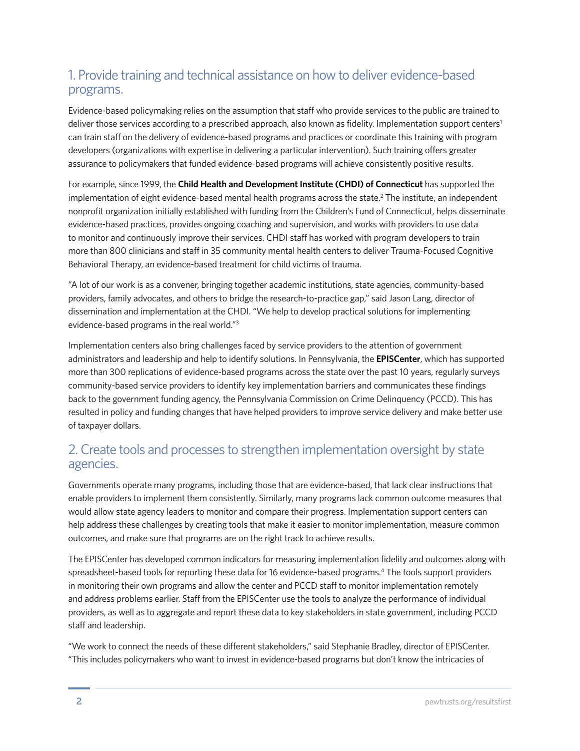#### 1. Provide training and technical assistance on how to deliver evidence-based programs.

Evidence-based policymaking relies on the assumption that staff who provide services to the public are trained to deliver those services according to a prescribed approach, also known as fidelity. Implementation support centers<sup>1</sup> can train staff on the delivery of evidence-based programs and practices or coordinate this training with program developers (organizations with expertise in delivering a particular intervention). Such training offers greater assurance to policymakers that funded evidence-based programs will achieve consistently positive results.

For example, since 1999, the **[Child Health and Development Institute \(CHDI\) of Connecticut](http://www.chdi.org/)** has supported the implementation of eight evidence-based mental health programs across the state.2 The institute, an independent nonprofit organization initially established with funding from the Children's Fund of Connecticut, helps disseminate evidence-based practices, provides ongoing coaching and supervision, and works with providers to use data to monitor and continuously improve their services. CHDI staff has worked with program developers to train more than 800 clinicians and staff in 35 community mental health centers to deliver Trauma-Focused Cognitive Behavioral Therapy, an evidence-based treatment for child victims of trauma.

"A lot of our work is as a convener, bringing together academic institutions, state agencies, community-based providers, family advocates, and others to bridge the research-to-practice gap," said Jason Lang, director of dissemination and implementation at the CHDI. "We help to develop practical solutions for implementing evidence-based programs in the real world."3

Implementation centers also bring challenges faced by service providers to the attention of government administrators and leadership and help to identify solutions. In Pennsylvania, the **[EPISCenter](http://www.episcenter.psu.edu/)**, which has supported more than 300 replications of evidence-based programs across the state over the past 10 years, regularly surveys community-based service providers to identify key implementation barriers and communicates these findings back to the government funding agency, the Pennsylvania Commission on Crime Delinquency (PCCD). This has resulted in policy and funding changes that have helped providers to improve service delivery and make better use of taxpayer dollars.

#### 2. Create tools and processes to strengthen implementation oversight by state agencies.

Governments operate many programs, including those that are evidence-based, that lack clear instructions that enable providers to implement them consistently. Similarly, many programs lack common outcome measures that would allow state agency leaders to monitor and compare their progress. Implementation support centers can help address these challenges by creating tools that make it easier to monitor implementation, measure common outcomes, and make sure that programs are on the right track to achieve results.

The EPISCenter has developed common indicators for measuring implementation fidelity and outcomes along with spreadsheet-based tools for reporting these data for 16 evidence-based programs.<sup>4</sup> The tools support providers in monitoring their own programs and allow the center and PCCD staff to monitor implementation remotely and address problems earlier. Staff from the EPISCenter use the tools to analyze the performance of individual providers, as well as to aggregate and report these data to key stakeholders in state government, including PCCD staff and leadership.

"We work to connect the needs of these different stakeholders," said Stephanie Bradley, director of EPISCenter. "This includes policymakers who want to invest in evidence-based programs but don't know the intricacies of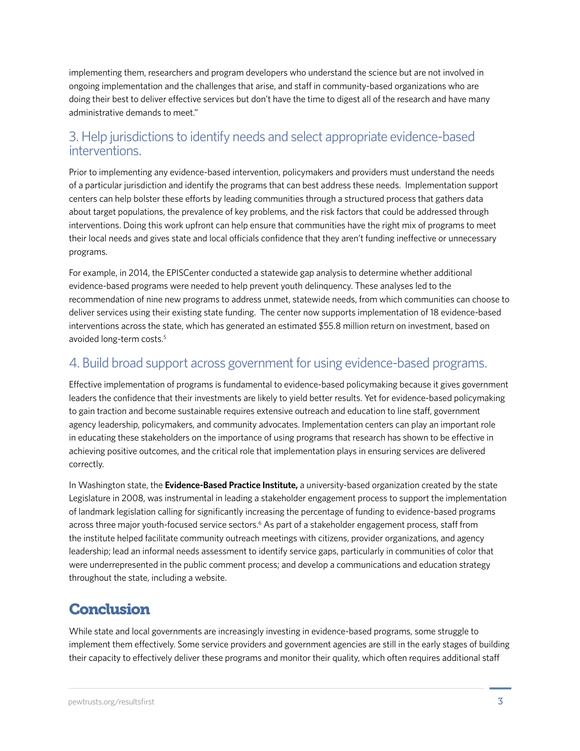implementing them, researchers and program developers who understand the science but are not involved in ongoing implementation and the challenges that arise, and staff in community-based organizations who are doing their best to deliver effective services but don't have the time to digest all of the research and have many administrative demands to meet."

#### 3. Help jurisdictions to identify needs and select appropriate evidence-based interventions.

Prior to implementing any evidence-based intervention, policymakers and providers must understand the needs of a particular jurisdiction and identify the programs that can best address these needs. Implementation support centers can help bolster these efforts by leading communities through a structured process that gathers data about target populations, the prevalence of key problems, and the risk factors that could be addressed through interventions. Doing this work upfront can help ensure that communities have the right mix of programs to meet their local needs and gives state and local officials confidence that they aren't funding ineffective or unnecessary programs.

For example, in 2014, the EPISCenter conducted a statewide gap analysis to determine whether additional evidence-based programs were needed to help prevent youth delinquency. These analyses led to the recommendation of nine new programs to address unmet, statewide needs, from which communities can choose to deliver services using their existing state funding. The center now supports implementation of 18 evidence-based interventions across the state, which has generated an estimated \$55.8 million return on investment, based on avoided long-term costs.<sup>5</sup>

#### 4. Build broad support across government for using evidence-based programs.

Effective implementation of programs is fundamental to evidence-based policymaking because it gives government leaders the confidence that their investments are likely to yield better results. Yet for evidence-based policymaking to gain traction and become sustainable requires extensive outreach and education to line staff, government agency leadership, policymakers, and community advocates. Implementation centers can play an important role in educating these stakeholders on the importance of using programs that research has shown to be effective in achieving positive outcomes, and the critical role that implementation plays in ensuring services are delivered correctly.

In Washington state, the **[Evidence-Based Practice Institute](https://depts.washington.edu/pbhjp/evidence-based-practice-institute/about-institute),** a university-based organization created by the state Legislature in 2008, was instrumental in leading a stakeholder engagement process to support the implementation of landmark legislation calling for significantly increasing the percentage of funding to evidence-based programs across three major youth-focused service sectors.<sup>6</sup> As part of a stakeholder engagement process, staff from the institute helped facilitate community outreach meetings with citizens, provider organizations, and agency leadership; lead an informal needs assessment to identify service gaps, particularly in communities of color that were underrepresented in the public comment process; and develop a communications and education strategy throughout the state, including a website.

### **Conclusion**

While state and local governments are increasingly investing in evidence-based programs, some struggle to implement them effectively. Some service providers and government agencies are still in the early stages of building their capacity to effectively deliver these programs and monitor their quality, which often requires additional staff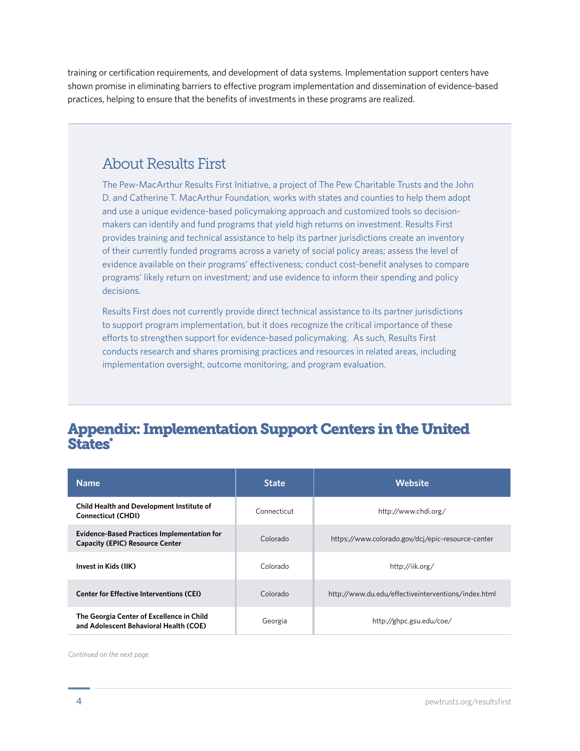training or certification requirements, and development of data systems. Implementation support centers have shown promise in eliminating barriers to effective program implementation and dissemination of evidence-based practices, helping to ensure that the benefits of investments in these programs are realized.

## About Results First

The Pew-MacArthur Results First Initiative, a project of The Pew Charitable Trusts and the John D. and Catherine T. MacArthur Foundation, works with states and counties to help them adopt and use a unique evidence-based policymaking approach and customized tools so decisionmakers can identify and fund programs that yield high returns on investment. Results First provides training and technical assistance to help its partner jurisdictions create an inventory of their currently funded programs across a variety of social policy areas; assess the level of evidence available on their programs' effectiveness; conduct cost-benefit analyses to compare programs' likely return on investment; and use evidence to inform their spending and policy decisions.

Results First does not currently provide direct technical assistance to its partner jurisdictions to support program implementation, but it does recognize the critical importance of these efforts to strengthen support for evidence-based policymaking. As such, Results First conducts research and shares promising practices and resources in related areas, including implementation oversight, outcome monitoring, and program evaluation.

#### Appendix: Implementation Support Centers in the United States\*

| <b>Name</b>                                                                                  | <b>State</b> | <b>Website</b>                                      |
|----------------------------------------------------------------------------------------------|--------------|-----------------------------------------------------|
| <b>Child Health and Development Institute of</b><br><b>Connecticut (CHDI)</b>                | Connecticut  | http://www.chdi.org/                                |
| <b>Evidence-Based Practices Implementation for</b><br><b>Capacity (EPIC) Resource Center</b> | Colorado     | https://www.colorado.gov/dcj/epic-resource-center   |
| Invest in Kids (IIK)                                                                         | Colorado     | http://iik.org/                                     |
| <b>Center for Effective Interventions (CEI)</b>                                              | Colorado     | http://www.du.edu/effectiveinterventions/index.html |
| The Georgia Center of Excellence in Child<br>and Adolescent Behavioral Health (COE)          | Georgia      | http://ghpc.gsu.edu/coe/                            |

*Continued on the next page*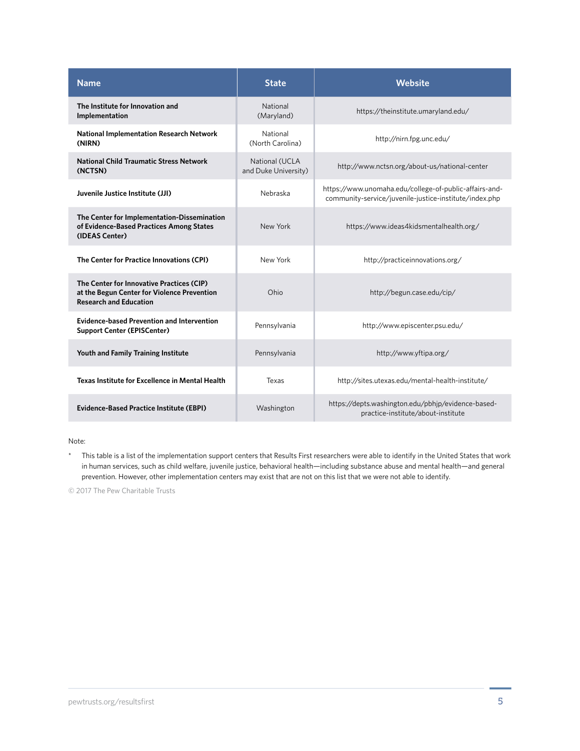| <b>Name</b>                                                                                                               | <b>State</b>                           | Website                                                                                                          |
|---------------------------------------------------------------------------------------------------------------------------|----------------------------------------|------------------------------------------------------------------------------------------------------------------|
| The Institute for Innovation and<br>Implementation                                                                        | National<br>(Maryland)                 | https://theinstitute.umaryland.edu/                                                                              |
| <b>National Implementation Research Network</b><br>(NIRN)                                                                 | National<br>(North Carolina)           | http://nirn.fpg.unc.edu/                                                                                         |
| <b>National Child Traumatic Stress Network</b><br>(NCTSN)                                                                 | National (UCLA<br>and Duke University) | http://www.nctsn.org/about-us/national-center                                                                    |
| Juvenile Justice Institute (JJI)                                                                                          | Nebraska                               | https://www.unomaha.edu/college-of-public-affairs-and-<br>community-service/juvenile-justice-institute/index.php |
| The Center for Implementation-Dissemination<br>of Evidence-Based Practices Among States<br>(IDEAS Center)                 | New York                               | https://www.ideas4kidsmentalhealth.org/                                                                          |
| The Center for Practice Innovations (CPI)                                                                                 | New York                               | http://practiceinnovations.org/                                                                                  |
| The Center for Innovative Practices (CIP)<br>at the Begun Center for Violence Prevention<br><b>Research and Education</b> | Ohio                                   | http://begun.case.edu/cip/                                                                                       |
| <b>Evidence-based Prevention and Intervention</b><br><b>Support Center (EPISCenter)</b>                                   | Pennsylvania                           | http://www.episcenter.psu.edu/                                                                                   |
| Youth and Family Training Institute                                                                                       | Pennsylvania                           | http://www.yftipa.org/                                                                                           |
| Texas Institute for Excellence in Mental Health                                                                           | Texas                                  | http://sites.utexas.edu/mental-health-institute/                                                                 |
| <b>Evidence-Based Practice Institute (EBPI)</b>                                                                           | Washington                             | https://depts.washington.edu/pbhjp/evidence-based-<br>practice-institute/about-institute                         |

#### Note:

\* This table is a list of the implementation support centers that Results First researchers were able to identify in the United States that work in human services, such as child welfare, juvenile justice, behavioral health—including substance abuse and mental health—and general prevention. However, other implementation centers may exist that are not on this list that we were not able to identify.

© 2017 The Pew Charitable Trusts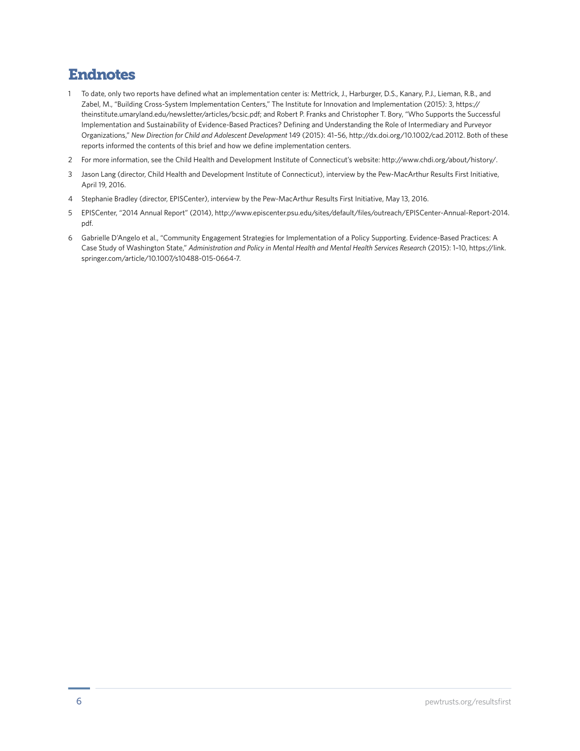## Endnotes

- 1 To date, only two reports have defined what an implementation center is: Mettrick, J., Harburger, D.S., Kanary, P.J., Lieman, R.B., and Zabel, M., "Building Cross-System Implementation Centers," The Institute for Innovation and Implementation (2015): 3, [https://](https://theinstitute.umaryland.edu/newsletter/articles/bcsic.pdf) [theinstitute.umaryland.edu/newsletter/articles/bcsic.pdf;](https://theinstitute.umaryland.edu/newsletter/articles/bcsic.pdf) and Robert P. Franks and Christopher T. Bory, "Who Supports the Successful Implementation and Sustainability of Evidence-Based Practices? Defining and Understanding the Role of Intermediary and Purveyor Organizations," *New Direction for Child and Adolescent Development* 149 (2015): 41–56, http://dx.doi.org/10.1002/cad.20112. Both of these reports informed the contents of this brief and how we define implementation centers.
- 2 For more information, see the Child Health and Development Institute of Connecticut's website: [http://www.chdi.org/about/history/.](http://www.chdi.org/about/history/)
- 3 Jason Lang (director, Child Health and Development Institute of Connecticut), interview by the Pew-MacArthur Results First Initiative, April 19, 2016.
- 4 Stephanie Bradley (director, EPISCenter), interview by the Pew-MacArthur Results First Initiative, May 13, 2016.
- 5 EPISCenter, "2014 Annual Report" (2014), [http://www.episcenter.psu.edu/sites/default/files/outreach/EPISCenter-Annual-Report-2014.](http://www.episcenter.psu.edu/sites/default/files/outreach/EPISCenter-Annual-Report-2014.pdf) [pdf.](http://www.episcenter.psu.edu/sites/default/files/outreach/EPISCenter-Annual-Report-2014.pdf)
- 6 Gabrielle D'Angelo et al., "Community Engagement Strategies for Implementation of a Policy Supporting. Evidence-Based Practices: A Case Study of Washington State," *Administration and Policy in Mental Health and Mental Health Services Research* (2015): 1–10, [https://link.](https://link.springer.com/article/10.1007/s10488-015-0664-7) [springer.com/article/10.1007/s10488-015-0664-7.](https://link.springer.com/article/10.1007/s10488-015-0664-7)